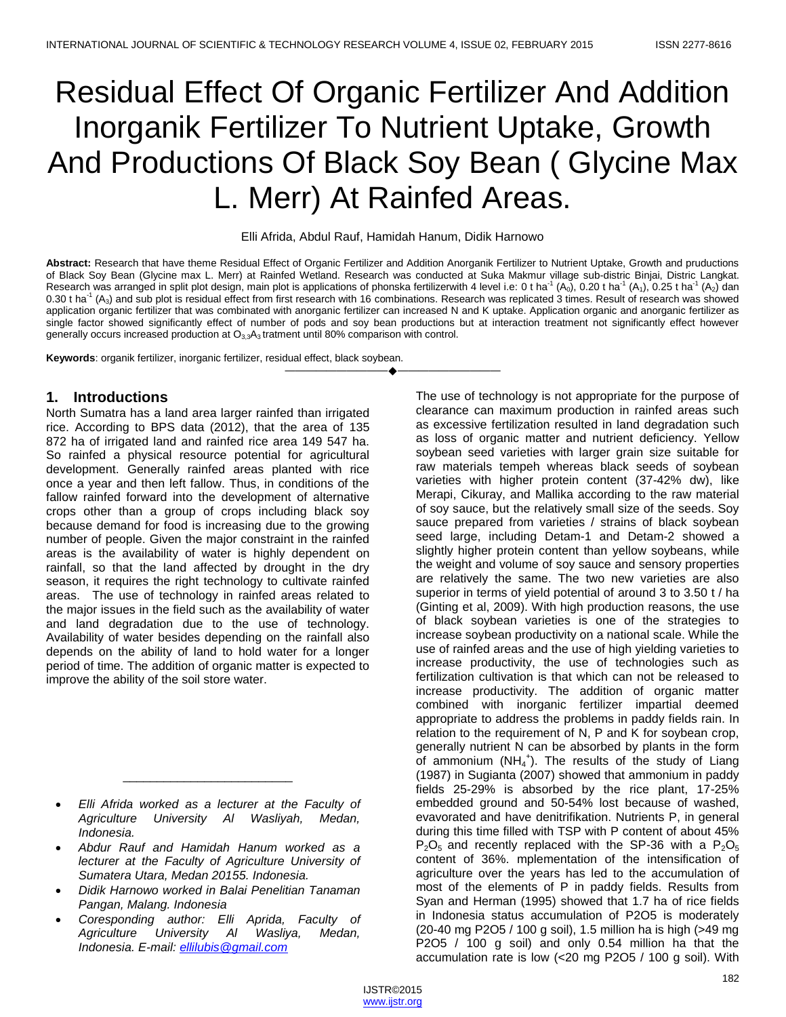# Residual Effect Of Organic Fertilizer And Addition Inorganik Fertilizer To Nutrient Uptake, Growth And Productions Of Black Soy Bean ( Glycine Max L. Merr) At Rainfed Areas.

### Elli Afrida, Abdul Rauf, Hamidah Hanum, Didik Harnowo

**Abstract:** Research that have theme Residual Effect of Organic Fertilizer and Addition Anorganik Fertilizer to Nutrient Uptake, Growth and pruductions of Black Soy Bean (Glycine max L. Merr) at Rainfed Wetland. Research was conducted at Suka Makmur village sub-distric Binjai, Distric Langkat. Research was arranged in split plot design, main plot is applications of phonska fertilizerwith 4 level i.e: 0 t ha<sup>-1</sup> (A<sub>0</sub>), 0.20 t ha<sup>-1</sup> (A<sub>1</sub>), 0.25 t ha<sup>-1</sup> (A<sub>2</sub>) dan 0.30 t ha<sup>-1</sup> (A<sub>3</sub>) and sub plot is residual effect from first research with 16 combinations. Research was replicated 3 times. Result of research was showed application organic fertilizer that was combinated with anorganic fertilizer can increased N and K uptake. Application organic and anorganic fertilizer as single factor showed significantly effect of number of pods and soy bean productions but at interaction treatment not significantly effect however generally occurs increased production at  $O_{3,3}A_3$  tratment until 80% comparison with control.

————————————————————

**Keywords**: organik fertilizer, inorganic fertilizer, residual effect, black soybean.

# **1. Introductions**

North Sumatra has a land area larger rainfed than irrigated rice. According to BPS data (2012), that the area of 135 872 ha of irrigated land and rainfed rice area 149 547 ha. So rainfed a physical resource potential for agricultural development. Generally rainfed areas planted with rice once a year and then left fallow. Thus, in conditions of the fallow rainfed forward into the development of alternative crops other than a group of crops including black soy because demand for food is increasing due to the growing number of people. Given the major constraint in the rainfed areas is the availability of water is highly dependent on rainfall, so that the land affected by drought in the dry season, it requires the right technology to cultivate rainfed areas. The use of technology in rainfed areas related to the major issues in the field such as the availability of water and land degradation due to the use of technology. Availability of water besides depending on the rainfall also depends on the ability of land to hold water for a longer period of time. The addition of organic matter is expected to improve the ability of the soil store water.

 *Elli Afrida worked as a lecturer at the Faculty of Agriculture University Al Wasliyah, Medan, Indonesia.*

\_\_\_\_\_\_\_\_\_\_\_\_\_\_\_\_\_\_\_\_\_\_\_\_\_

- *Abdur Rauf and Hamidah Hanum worked as a lecturer at the Faculty of Agriculture University of Sumatera Utara, Medan 20155. Indonesia.*
- *Didik Harnowo worked in Balai Penelitian Tanaman Pangan, Malang. Indonesia*
- *Coresponding author: Elli Aprida, Faculty of Agriculture University Al Wasliya, Medan, Indonesia. E-mail: [ellilubis@gmail.com](mailto:ellilubis@gmail.com)*

The use of technology is not appropriate for the purpose of clearance can maximum production in rainfed areas such as excessive fertilization resulted in land degradation such as loss of organic matter and nutrient deficiency. Yellow soybean seed varieties with larger grain size suitable for raw materials tempeh whereas black seeds of soybean varieties with higher protein content (37-42% dw), like Merapi, Cikuray, and Mallika according to the raw material of soy sauce, but the relatively small size of the seeds. Soy sauce prepared from varieties / strains of black soybean seed large, including Detam-1 and Detam-2 showed a slightly higher protein content than yellow soybeans, while the weight and volume of soy sauce and sensory properties are relatively the same. The two new varieties are also superior in terms of yield potential of around 3 to 3.50 t / ha (Ginting et al, 2009). With high production reasons, the use of black soybean varieties is one of the strategies to increase soybean productivity on a national scale. While the use of rainfed areas and the use of high yielding varieties to increase productivity, the use of technologies such as fertilization cultivation is that which can not be released to increase productivity. The addition of organic matter combined with inorganic fertilizer impartial deemed appropriate to address the problems in paddy fields rain. In relation to the requirement of N, P and K for soybean crop, generally nutrient N can be absorbed by plants in the form of ammonium  $(NH_4^+)$ . The results of the study of Liang (1987) in Sugianta (2007) showed that ammonium in paddy fields 25-29% is absorbed by the rice plant, 17-25% embedded ground and 50-54% lost because of washed, evavorated and have denitrifikation. Nutrients P, in general during this time filled with TSP with P content of about 45%  $P_2O_5$  and recently replaced with the SP-36 with a  $P_2O_5$ content of 36%. mplementation of the intensification of agriculture over the years has led to the accumulation of most of the elements of P in paddy fields. Results from Syan and Herman (1995) showed that 1.7 ha of rice fields in Indonesia status accumulation of P2O5 is moderately (20-40 mg P2O5 / 100 g soil), 1.5 million ha is high (>49 mg P2O5 / 100 g soil) and only 0.54 million ha that the accumulation rate is low (<20 mg P2O5 / 100 g soil). With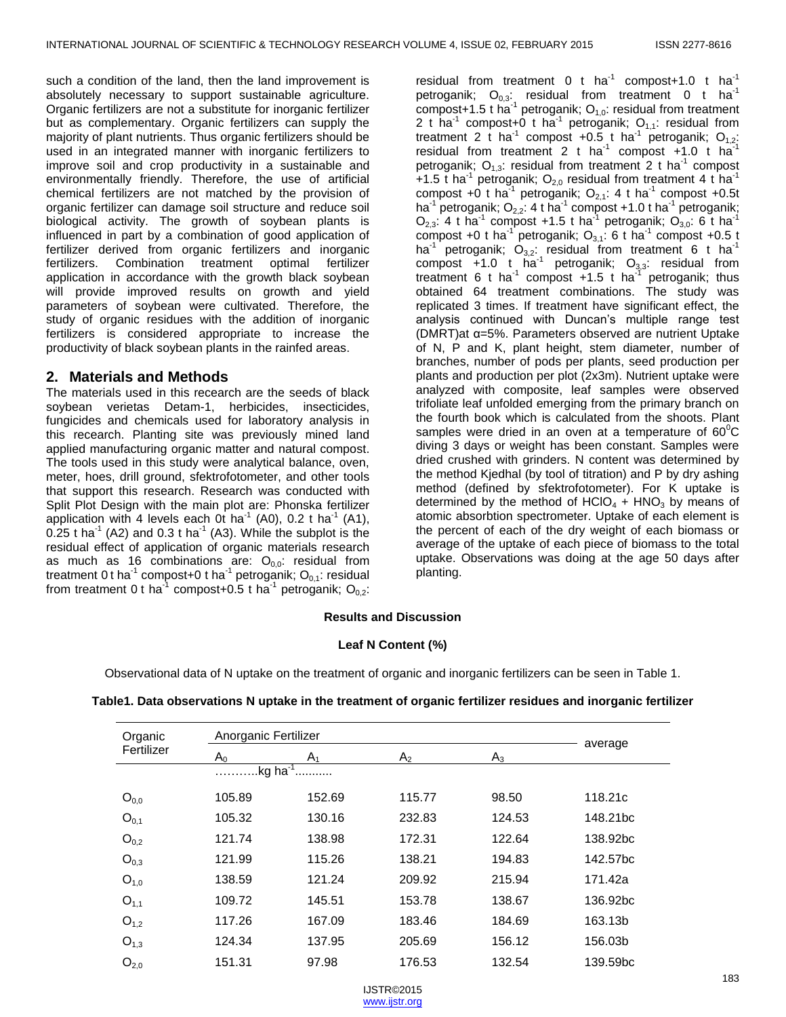such a condition of the land, then the land improvement is absolutely necessary to support sustainable agriculture. Organic fertilizers are not a substitute for inorganic fertilizer but as complementary. Organic fertilizers can supply the majority of plant nutrients. Thus organic fertilizers should be used in an integrated manner with inorganic fertilizers to improve soil and crop productivity in a sustainable and environmentally friendly. Therefore, the use of artificial chemical fertilizers are not matched by the provision of organic fertilizer can damage soil structure and reduce soil biological activity. The growth of soybean plants is influenced in part by a combination of good application of fertilizer derived from organic fertilizers and inorganic fertilizers. Combination treatment optimal fertilizer application in accordance with the growth black soybean will provide improved results on growth and yield parameters of soybean were cultivated. Therefore, the study of organic residues with the addition of inorganic fertilizers is considered appropriate to increase the productivity of black soybean plants in the rainfed areas.

## **2. Materials and Methods**

The materials used in this recearch are the seeds of black soybean verietas Detam-1, herbicides, insecticides, fungicides and chemicals used for laboratory analysis in this recearch. Planting site was previously mined land applied manufacturing organic matter and natural compost. The tools used in this study were analytical balance, oven, meter, hoes, drill ground, sfektrofotometer, and other tools that support this research. Research was conducted with Split Plot Design with the main plot are: Phonska fertilizer application with 4 levels each 0t ha<sup>-1</sup> (A0), 0.2 t ha<sup>-1</sup> (A1), 0.25 t ha<sup>-1</sup> (A2) and 0.3 t ha<sup>-1</sup> (A3). While the subplot is the residual effect of application of organic materials research as much as 16 combinations are:  $O_{0.0}$ : residual from treatment 0 t ha<sup>-1</sup> compost+0 t ha<sup>-1</sup> petroganik; O<sub>0,1</sub>: residual from treatment 0 t ha<sup>-1</sup> compost+0.5 t ha<sup>-1</sup> petroganik;  $O_{0,2}$ :

residual from treatment 0 t ha<sup>-1</sup> compost+1.0 t ha<sup>-1</sup> petroganik;  $O_{0,3}$ : residual from treatment 0 t ha<sup>-1</sup> compost+1.5 t ha<sup>-1</sup> petroganik;  $O_{1,0}$ : residual from treatment 2 t ha<sup>-1</sup> compost+0 t ha<sup>-1</sup> petroganik;  $O_{1,1}$ : residual from treatment 2 t ha<sup>-1</sup> compost +0.5 t ha<sup>-1</sup> petroganik; O<sub>1,2</sub>: residual from treatment 2 t ha<sup>-1</sup> compost  $+1.0$  t ha<sup>-1</sup> petroganik;  $O_{1,3}$ : residual from treatment 2 t ha<sup>-1</sup> compost +1.5 t ha<sup>-1</sup> petroganik; O<sub>2,0</sub> residual from treatment 4 t ha<sup>-1</sup> compost +0 t ha<sup>-1</sup> petroganik;  $O_{2,1}$ : 4 t ha<sup>-1</sup> compost +0.5t ha<sup>-1</sup> petroganik; O<sub>2,2</sub>: 4 t ha<sup>-1</sup> compost +1.0 t ha<sup>-1</sup> petroganik;  $O_{2,3}$ : 4 t ha<sup>-1</sup> compost +1.5 t ha<sup>-1</sup> petroganik;  $O_{3,0}$ : 6 t ha<sup>-1</sup> compost +0 t ha<sup>-1</sup> petroganik;  $O_{3,1}$ : 6 t ha<sup>-1</sup> compost +0.5 t ha<sup>-1</sup> petroganik; O<sub>3,2</sub>: residual from treatment 6 t ha<sup>-1</sup> compost  $+1.0$  t ha<sup>-1</sup> petroganik; O<sub>3,3</sub>: residual from treatment 6 t ha<sup>-1</sup> compost  $+1.5$  t ha<sup>-1</sup> petroganik; thus obtained 64 treatment combinations. The study was replicated 3 times. If treatment have significant effect, the analysis continued with Duncan's multiple range test (DMRT)at α=5%. Parameters observed are nutrient Uptake of N, P and K, plant height, stem diameter, number of branches, number of pods per plants, seed production per plants and production per plot (2x3m). Nutrient uptake were analyzed with composite, leaf samples were observed trifoliate leaf unfolded emerging from the primary branch on the fourth book which is calculated from the shoots. Plant samples were dried in an oven at a temperature of  $60^{\circ}$ C diving 3 days or weight has been constant. Samples were dried crushed with grinders. N content was determined by the method Kjedhal (by tool of titration) and P by dry ashing method (defined by sfektrofotometer). For K uptake is determined by the method of  $HClO<sub>4</sub> + HNO<sub>3</sub>$  by means of atomic absorbtion spectrometer. Uptake of each element is the percent of each of the dry weight of each biomass or average of the uptake of each piece of biomass to the total uptake. Observations was doing at the age 50 days after planting.

#### **Results and Discussion**

#### **Leaf N Content (%)**

Observational data of N uptake on the treatment of organic and inorganic fertilizers can be seen in Table 1.

| Organic    | Anorganic Fertilizer    |                |                |        |                      |
|------------|-------------------------|----------------|----------------|--------|----------------------|
| Fertilizer | A <sub>0</sub>          | A <sub>1</sub> | A <sub>2</sub> | $A_3$  | average              |
|            | $kg$ ha <sup>-1</sup> . |                |                |        |                      |
| $O_{0,0}$  | 105.89                  | 152.69         | 115.77         | 98.50  | 118.21c              |
| $O_{0,1}$  | 105.32                  | 130.16         | 232.83         | 124.53 | 148.21bc             |
| $O_{0,2}$  | 121.74                  | 138.98         | 172.31         | 122.64 | 138.92bc             |
| $O_{0,3}$  | 121.99                  | 115.26         | 138.21         | 194.83 | 142.57bc             |
| $O_{1,0}$  | 138.59                  | 121.24         | 209.92         | 215.94 | 171.42a              |
| $O_{1,1}$  | 109.72                  | 145.51         | 153.78         | 138.67 | 136.92bc             |
| $O_{1,2}$  | 117.26                  | 167.09         | 183.46         | 184.69 | 163.13b              |
| $O_{1,3}$  | 124.34                  | 137.95         | 205.69         | 156.12 | 156.03b              |
| $O_{2,0}$  | 151.31                  | 97.98          | 176.53         | 132.54 | 139.59 <sub>bc</sub> |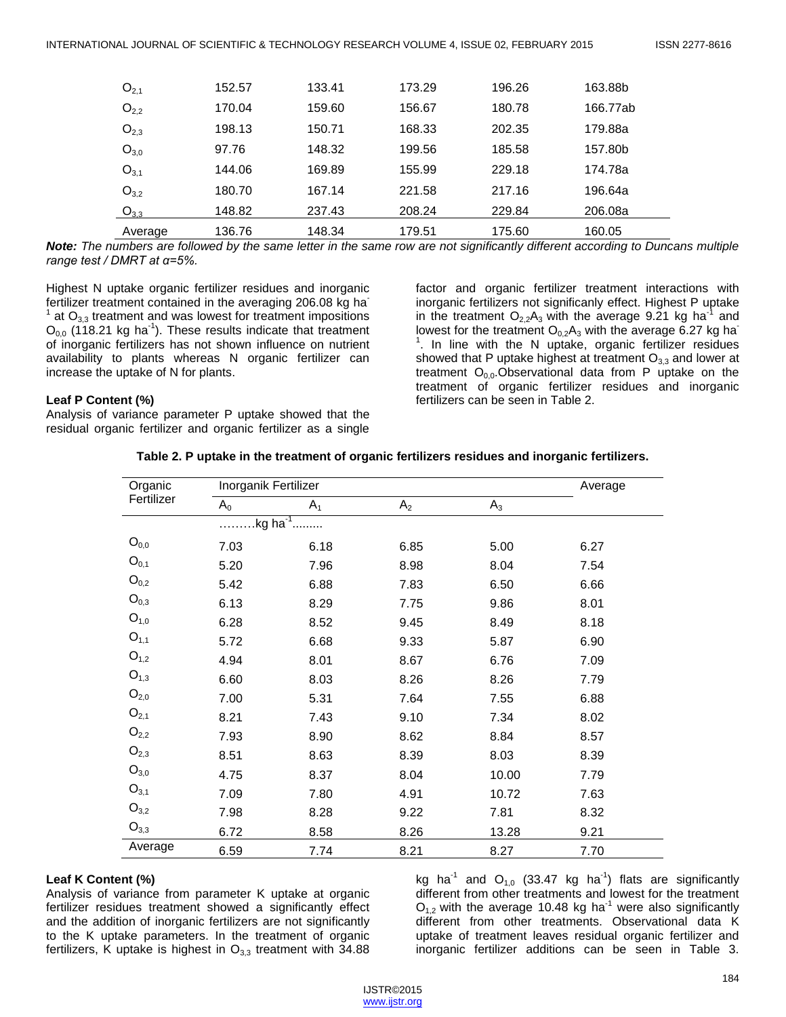| $O_{2,1}$ | 152.57 | 133.41 | 173.29 | 196.26 | 163.88b  |  |
|-----------|--------|--------|--------|--------|----------|--|
| $O_{2,2}$ | 170.04 | 159.60 | 156.67 | 180.78 | 166.77ab |  |
| $O_{2,3}$ | 198.13 | 150.71 | 168.33 | 202.35 | 179.88a  |  |
| $O_{3,0}$ | 97.76  | 148.32 | 199.56 | 185.58 | 157.80b  |  |
| $O_{3,1}$ | 144.06 | 169.89 | 155.99 | 229.18 | 174.78a  |  |
| $O_{3.2}$ | 180.70 | 167.14 | 221.58 | 217.16 | 196.64a  |  |
| $O_{3,3}$ | 148.82 | 237.43 | 208.24 | 229.84 | 206.08a  |  |
| Average   | 136.76 | 148.34 | 179.51 | 175.60 | 160.05   |  |

*Note: The numbers are followed by the same letter in the same row are not significantly different according to Duncans multiple range test / DMRT at α=5%.*

Highest N uptake organic fertilizer residues and inorganic fertilizer treatment contained in the averaging 206.08 kg ha  $1$  at  $O_{3,3}$  treatment and was lowest for treatment impositions  $O_{0,0}$  (118.21 kg ha<sup>-1</sup>). These results indicate that treatment of inorganic fertilizers has not shown influence on nutrient availability to plants whereas N organic fertilizer can increase the uptake of N for plants.

factor and organic fertilizer treatment interactions with inorganic fertilizers not significanly effect. Highest P uptake in the treatment  $O_{2,2}A_3$  with the average 9.21 kg ha<sup>-1</sup> and lowest for the treatment  $O_{0,2}A_3$  with the average 6.27 kg ha<sup>-</sup> <sup>1</sup>. In line with the N uptake, organic fertilizer residues showed that P uptake highest at treatment  $O_{3,3}$  and lower at treatment  $O_{0,0}$ . Observational data from P uptake on the treatment of organic fertilizer residues and inorganic fertilizers can be seen in Table 2.

#### **Leaf P Content (%)**

Analysis of variance parameter P uptake showed that the residual organic fertilizer and organic fertilizer as a single

| Organic         |       | Inorganik Fertilizer |                |       |      |
|-----------------|-------|----------------------|----------------|-------|------|
| Fertilizer      | $A_0$ | $A_1$                | A <sub>2</sub> | $A_3$ |      |
|                 |       | .kg ha <sup>-1</sup> |                |       |      |
| $O_{0,0}$       | 7.03  | 6.18                 | 6.85           | 5.00  | 6.27 |
| $O_{0,1}$       | 5.20  | 7.96                 | 8.98           | 8.04  | 7.54 |
| $O_{0,2}$       | 5.42  | 6.88                 | 7.83           | 6.50  | 6.66 |
| $O_{0,3}$       | 6.13  | 8.29                 | 7.75           | 9.86  | 8.01 |
| $O_{1,0}$       | 6.28  | 8.52                 | 9.45           | 8.49  | 8.18 |
| $O_{1,1}$       | 5.72  | 6.68                 | 9.33           | 5.87  | 6.90 |
| $O_{1,2}$       | 4.94  | 8.01                 | 8.67           | 6.76  | 7.09 |
| $O_{1,3}$       | 6.60  | 8.03                 | 8.26           | 8.26  | 7.79 |
| $O_{2,0}$       | 7.00  | 5.31                 | 7.64           | 7.55  | 6.88 |
| $O_{2,1}$       | 8.21  | 7.43                 | 9.10           | 7.34  | 8.02 |
| $O_{2,2}$       | 7.93  | 8.90                 | 8.62           | 8.84  | 8.57 |
| $O_{2,3}$       | 8.51  | 8.63                 | 8.39           | 8.03  | 8.39 |
| $O_{3,0}$       | 4.75  | 8.37                 | 8.04           | 10.00 | 7.79 |
| $O_{3,1}$       | 7.09  | 7.80                 | 4.91           | 10.72 | 7.63 |
| ${\sf O}_{3,2}$ | 7.98  | 8.28                 | 9.22           | 7.81  | 8.32 |
| $O_{3,3}$       | 6.72  | 8.58                 | 8.26           | 13.28 | 9.21 |
| Average         | 6.59  | 7.74                 | 8.21           | 8.27  | 7.70 |

|  | Table 2. P uptake in the treatment of organic fertilizers residues and inorganic fertilizers. |  |  |  |
|--|-----------------------------------------------------------------------------------------------|--|--|--|
|  |                                                                                               |  |  |  |

#### **Leaf K Content (%)**

Analysis of variance from parameter K uptake at organic fertilizer residues treatment showed a significantly effect and the addition of inorganic fertilizers are not significantly to the K uptake parameters. In the treatment of organic fertilizers, K uptake is highest in  $O_{3,3}$  treatment with 34.88

kg ha<sup>-1</sup> and  $O_{1,0}$  (33.47 kg ha<sup>-1</sup>) flats are significantly different from other treatments and lowest for the treatment  $O_{1,2}$  with the average 10.48 kg ha<sup>-1</sup> were also significantly different from other treatments. Observational data K uptake of treatment leaves residual organic fertilizer and inorganic fertilizer additions can be seen in Table 3.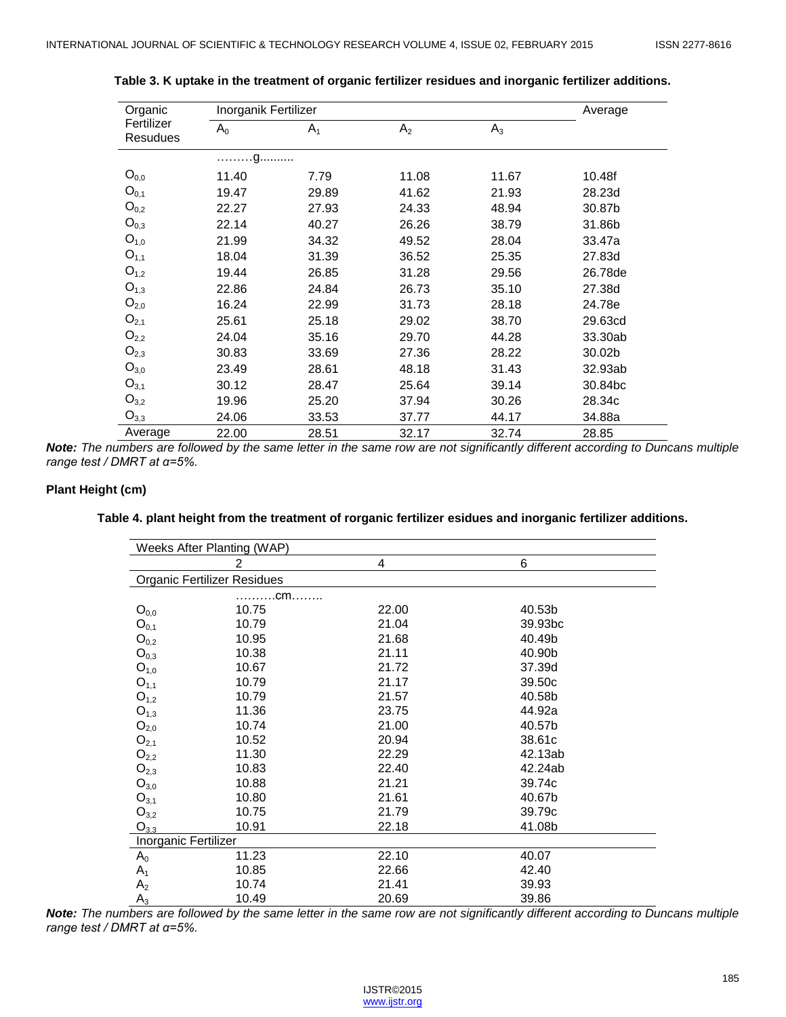| Organic                |       | Inorganik Fertilizer |                |       |         |
|------------------------|-------|----------------------|----------------|-------|---------|
| Fertilizer<br>Resudues | $A_0$ | A <sub>1</sub>       | A <sub>2</sub> | $A_3$ |         |
|                        | . g.  |                      |                |       |         |
| $O_{0,0}$              | 11.40 | 7.79                 | 11.08          | 11.67 | 10.48f  |
| $O_{0,1}$              | 19.47 | 29.89                | 41.62          | 21.93 | 28.23d  |
| $O_{0,2}$              | 22.27 | 27.93                | 24.33          | 48.94 | 30.87b  |
| $O_{0,3}$              | 22.14 | 40.27                | 26.26          | 38.79 | 31.86b  |
| $O_{1,0}$              | 21.99 | 34.32                | 49.52          | 28.04 | 33.47a  |
| $O_{1,1}$              | 18.04 | 31.39                | 36.52          | 25.35 | 27.83d  |
| $O_{1,2}$              | 19.44 | 26.85                | 31.28          | 29.56 | 26.78de |
| $O_{1,3}$              | 22.86 | 24.84                | 26.73          | 35.10 | 27.38d  |
| $O_{2,0}$              | 16.24 | 22.99                | 31.73          | 28.18 | 24.78e  |
| $O_{2,1}$              | 25.61 | 25.18                | 29.02          | 38.70 | 29.63cd |
| $O_{2,2}$              | 24.04 | 35.16                | 29.70          | 44.28 | 33.30ab |
| $O_{2,3}$              | 30.83 | 33.69                | 27.36          | 28.22 | 30.02b  |
| $O_{3,0}$              | 23.49 | 28.61                | 48.18          | 31.43 | 32.93ab |
| $O_{3,1}$              | 30.12 | 28.47                | 25.64          | 39.14 | 30.84bc |
| $O_{3,2}$              | 19.96 | 25.20                | 37.94          | 30.26 | 28.34c  |
| $O_{3,3}$              | 24.06 | 33.53                | 37.77          | 44.17 | 34.88a  |
| Average                | 22.00 | 28.51                | 32.17          | 32.74 | 28.85   |

**Table 3. K uptake in the treatment of organic fertilizer residues and inorganic fertilizer additions.**

*Note: The numbers are followed by the same letter in the same row are not significantly different according to Duncans multiple range test / DMRT at α=5%.*

#### **Plant Height (cm)**

| Weeks After Planting (WAP)         |                |       |         |
|------------------------------------|----------------|-------|---------|
|                                    | $\overline{c}$ | 4     | 6       |
| <b>Organic Fertilizer Residues</b> |                |       |         |
|                                    | .cm………         |       |         |
| $O_{0,0}$                          | 10.75          | 22.00 | 40.53b  |
| $O_{0,1}$                          | 10.79          | 21.04 | 39.93bc |
| $O_{0,2}$                          | 10.95          | 21.68 | 40.49b  |
| $O_{0,3}$                          | 10.38          | 21.11 | 40.90b  |
| $O_{1,0}$                          | 10.67          | 21.72 | 37.39d  |
| $O_{1,1}$                          | 10.79          | 21.17 | 39.50c  |
| $O_{1,2}$                          | 10.79          | 21.57 | 40.58b  |
| $O_{1,3}$                          | 11.36          | 23.75 | 44.92a  |
| $O_{2,0}$                          | 10.74          | 21.00 | 40.57b  |
| $O_{2,1}$                          | 10.52          | 20.94 | 38.61c  |
| $O_{2,2}$                          | 11.30          | 22.29 | 42.13ab |
| $O_{2,3}$                          | 10.83          | 22.40 | 42.24ab |
| $O_{3,0}$                          | 10.88          | 21.21 | 39.74c  |
| $O_{3,1}$                          | 10.80          | 21.61 | 40.67b  |
| ${\sf O}_{3,2}$                    | 10.75          | 21.79 | 39.79c  |
| $O_{3.3}$                          | 10.91          | 22.18 | 41.08b  |
| Inorganic Fertilizer               |                |       |         |
| $A_0$                              | 11.23          | 22.10 | 40.07   |
| $A_1$                              | 10.85          | 22.66 | 42.40   |
| A <sub>2</sub>                     | 10.74          | 21.41 | 39.93   |
| $A_3$                              | 10.49          | 20.69 | 39.86   |

**Table 4. plant height from the treatment of rorganic fertilizer esidues and inorganic fertilizer additions.**

*Note: The numbers are followed by the same letter in the same row are not significantly different according to Duncans multiple range test / DMRT at α=5%.*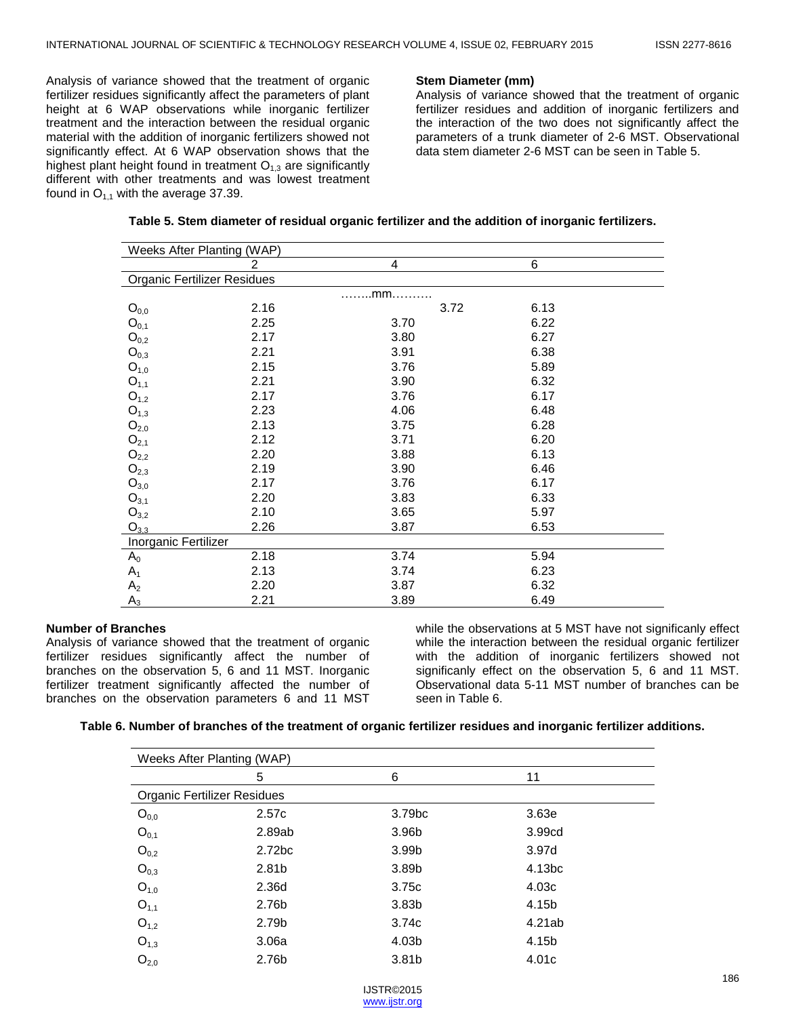Analysis of variance showed that the treatment of organic fertilizer residues significantly affect the parameters of plant height at 6 WAP observations while inorganic fertilizer treatment and the interaction between the residual organic material with the addition of inorganic fertilizers showed not significantly effect. At 6 WAP observation shows that the highest plant height found in treatment  $O_{1,3}$  are significantly different with other treatments and was lowest treatment found in  $O_{1,1}$  with the average 37.39.

#### **Stem Diameter (mm)**

Analysis of variance showed that the treatment of organic fertilizer residues and addition of inorganic fertilizers and the interaction of the two does not significantly affect the parameters of a trunk diameter of 2-6 MST. Observational data stem diameter 2-6 MST can be seen in Table 5.

| Weeks After Planting (WAP) |                                    |        |      |  |  |  |  |
|----------------------------|------------------------------------|--------|------|--|--|--|--|
|                            | 2                                  | 4      | 6    |  |  |  |  |
|                            | <b>Organic Fertilizer Residues</b> |        |      |  |  |  |  |
|                            |                                    | $$ mm. |      |  |  |  |  |
| $O_{0,0}$                  | 2.16                               | 3.72   | 6.13 |  |  |  |  |
| $O_{0,1}$                  | 2.25                               | 3.70   | 6.22 |  |  |  |  |
| $O_{0,2}$                  | 2.17                               | 3.80   | 6.27 |  |  |  |  |
| $O_{0,3}$                  | 2.21                               | 3.91   | 6.38 |  |  |  |  |
| $O_{1,0}$                  | 2.15                               | 3.76   | 5.89 |  |  |  |  |
| $O_{1,1}$                  | 2.21                               | 3.90   | 6.32 |  |  |  |  |
| $O_{1,2}$                  | 2.17                               | 3.76   | 6.17 |  |  |  |  |
| $O_{1,3}$                  | 2.23                               | 4.06   | 6.48 |  |  |  |  |
| $O_{2,0}$                  | 2.13                               | 3.75   | 6.28 |  |  |  |  |
| $O_{2,1}$                  | 2.12                               | 3.71   | 6.20 |  |  |  |  |
| $O_{2,2}$                  | 2.20                               | 3.88   | 6.13 |  |  |  |  |
| $O_{2,3}$                  | 2.19                               | 3.90   | 6.46 |  |  |  |  |
| $O_{3,0}$                  | 2.17                               | 3.76   | 6.17 |  |  |  |  |
| $O_{3,1}$                  | 2.20                               | 3.83   | 6.33 |  |  |  |  |
| $O_{3,2}$                  | 2.10                               | 3.65   | 5.97 |  |  |  |  |
| $O_{3,3}$                  | 2.26                               | 3.87   | 6.53 |  |  |  |  |
| Inorganic Fertilizer       |                                    |        |      |  |  |  |  |
| $A_0$                      | 2.18                               | 3.74   | 5.94 |  |  |  |  |
| $A_1$                      | 2.13                               | 3.74   | 6.23 |  |  |  |  |
| A <sub>2</sub>             | 2.20                               | 3.87   | 6.32 |  |  |  |  |
| $A_3$                      | 2.21                               | 3.89   | 6.49 |  |  |  |  |

# **Table 5. Stem diameter of residual organic fertilizer and the addition of inorganic fertilizers.**

#### **Number of Branches**

Analysis of variance showed that the treatment of organic fertilizer residues significantly affect the number of branches on the observation 5, 6 and 11 MST. Inorganic fertilizer treatment significantly affected the number of branches on the observation parameters 6 and 11 MST while the observations at 5 MST have not significanly effect while the interaction between the residual organic fertilizer with the addition of inorganic fertilizers showed not significanly effect on the observation 5, 6 and 11 MST. Observational data 5-11 MST number of branches can be seen in Table 6.

## **Table 6. Number of branches of the treatment of organic fertilizer residues and inorganic fertilizer additions.**

| Weeks After Planting (WAP)         |                    |                    |                   |  |  |  |
|------------------------------------|--------------------|--------------------|-------------------|--|--|--|
|                                    | 5                  | 6                  | 11                |  |  |  |
| <b>Organic Fertilizer Residues</b> |                    |                    |                   |  |  |  |
| $O_{0,0}$                          | 2.57c              | 3.79 <sub>bc</sub> | 3.63e             |  |  |  |
| $O_{0,1}$                          | 2.89ab             | 3.96b              | 3.99cd            |  |  |  |
| $O_{0,2}$                          | 2.72 <sub>bc</sub> | 3.99b              | 3.97 <sub>d</sub> |  |  |  |
| $O_{0,3}$                          | 2.81b              | 3.89b              | 4.13bc            |  |  |  |
| $O_{1,0}$                          | 2.36d              | 3.75c              | 4.03c             |  |  |  |
| $O_{1,1}$                          | 2.76b              | 3.83 <sub>b</sub>  | 4.15b             |  |  |  |
| $O_{1,2}$                          | 2.79b              | 3.74 <sub>c</sub>  | 4.21ab            |  |  |  |
| $O_{1,3}$                          | 3.06a              | 4.03b              | 4.15b             |  |  |  |
| $O_{2,0}$                          | 2.76b              | 3.81 <sub>b</sub>  | 4.01c             |  |  |  |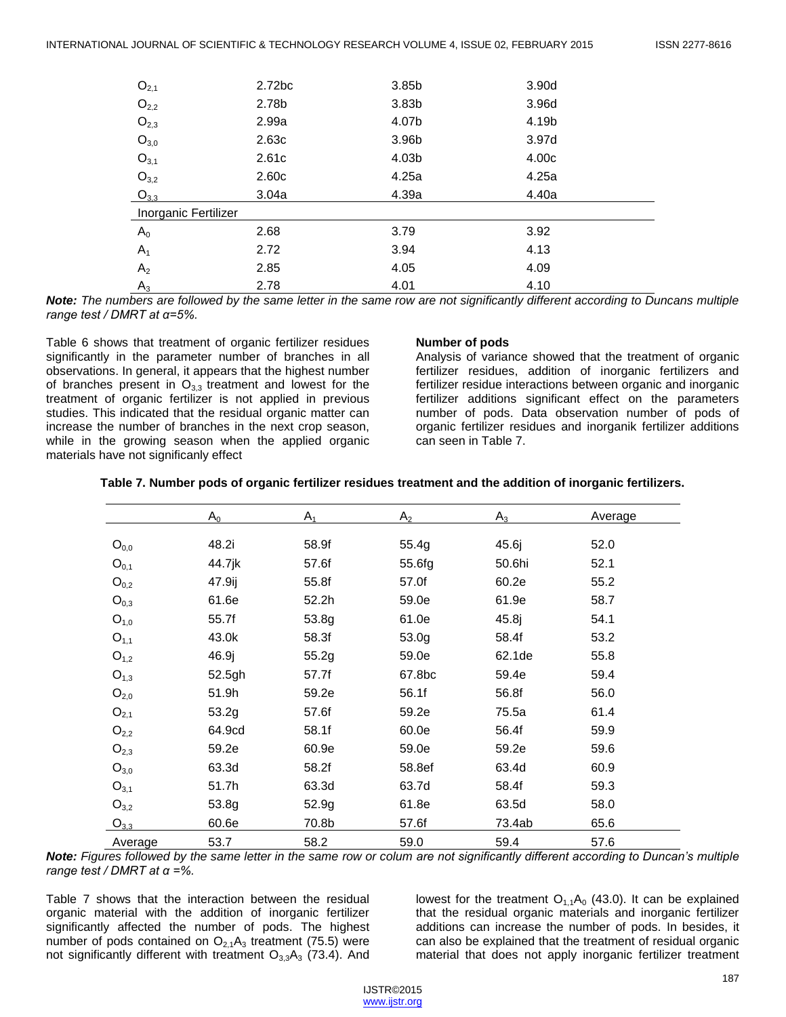| $O_{2,1}$            | 2.72bc | 3.85b | 3.90d |
|----------------------|--------|-------|-------|
| $O_{2,2}$            | 2.78b  | 3.83b | 3.96d |
| $O_{2,3}$            | 2.99a  | 4.07b | 4.19b |
| $O_{3,0}$            | 2.63c  | 3.96b | 3.97d |
| $O_{3,1}$            | 2.61c  | 4.03b | 4.00c |
| $O_{3,2}$            | 2.60c  | 4.25a | 4.25a |
| $O_{3,3}$            | 3.04a  | 4.39a | 4.40a |
| Inorganic Fertilizer |        |       |       |
| $A_0$                | 2.68   | 3.79  | 3.92  |
| $A_1$                | 2.72   | 3.94  | 4.13  |
| A <sub>2</sub>       | 2.85   | 4.05  | 4.09  |
| $A_3$                | 2.78   | 4.01  | 4.10  |

*Note: The numbers are followed by the same letter in the same row are not significantly different according to Duncans multiple range test / DMRT at α=5%.*

Table 6 shows that treatment of organic fertilizer residues significantly in the parameter number of branches in all observations. In general, it appears that the highest number of branches present in  $O_{3,3}$  treatment and lowest for the treatment of organic fertilizer is not applied in previous studies. This indicated that the residual organic matter can increase the number of branches in the next crop season, while in the growing season when the applied organic materials have not significanly effect

#### **Number of pods**

Analysis of variance showed that the treatment of organic fertilizer residues, addition of inorganic fertilizers and fertilizer residue interactions between organic and inorganic fertilizer additions significant effect on the parameters number of pods. Data observation number of pods of organic fertilizer residues and inorganik fertilizer additions can seen in Table 7.

|  |  | Table 7. Number pods of organic fertilizer residues treatment and the addition of inorganic fertilizers. |  |  |
|--|--|----------------------------------------------------------------------------------------------------------|--|--|
|--|--|----------------------------------------------------------------------------------------------------------|--|--|

|           | $A_0$  | A <sub>1</sub> | A <sub>2</sub> | $A_3$  | Average |
|-----------|--------|----------------|----------------|--------|---------|
| $O_{0,0}$ | 48.2i  | 58.9f          | 55.4g          | 45.6j  | 52.0    |
| $O_{0,1}$ | 44.7jk | 57.6f          | 55.6fg         | 50.6hi | 52.1    |
| $O_{0,2}$ | 47.9ij | 55.8f          | 57.0f          | 60.2e  | 55.2    |
| $O_{0,3}$ | 61.6e  | 52.2h          | 59.0e          | 61.9e  | 58.7    |
| $O_{1,0}$ | 55.7f  | 53.8g          | 61.0e          | 45.8j  | 54.1    |
| $O_{1,1}$ | 43.0k  | 58.3f          | 53.0g          | 58.4f  | 53.2    |
| $O_{1,2}$ | 46.9j  | 55.2g          | 59.0e          | 62.1de | 55.8    |
| $O_{1,3}$ | 52.5gh | 57.7f          | 67.8bc         | 59.4e  | 59.4    |
| $O_{2,0}$ | 51.9h  | 59.2e          | 56.1f          | 56.8f  | 56.0    |
| $O_{2,1}$ | 53.2g  | 57.6f          | 59.2e          | 75.5a  | 61.4    |
| $O_{2,2}$ | 64.9cd | 58.1f          | 60.0e          | 56.4f  | 59.9    |
| $O_{2,3}$ | 59.2e  | 60.9e          | 59.0e          | 59.2e  | 59.6    |
| $O_{3,0}$ | 63.3d  | 58.2f          | 58.8ef         | 63.4d  | 60.9    |
| $O_{3,1}$ | 51.7h  | 63.3d          | 63.7d          | 58.4f  | 59.3    |
| $O_{3,2}$ | 53.8g  | 52.9g          | 61.8e          | 63.5d  | 58.0    |
| $O_{3,3}$ | 60.6e  | 70.8b          | 57.6f          | 73.4ab | 65.6    |
| Average   | 53.7   | 58.2           | 59.0           | 59.4   | 57.6    |

*Note: Figures followed by the same letter in the same row or colum are not significantly different according to Duncan's multiple range test / DMRT at α =%.* 

Table 7 shows that the interaction between the residual organic material with the addition of inorganic fertilizer significantly affected the number of pods. The highest number of pods contained on  $O_{2,1}A_3$  treatment (75.5) were not significantly different with treatment  $O_{3,3}A_3$  (73.4). And

lowest for the treatment  $O_{1,1}A_0$  (43.0). It can be explained that the residual organic materials and inorganic fertilizer additions can increase the number of pods. In besides, it can also be explained that the treatment of residual organic material that does not apply inorganic fertilizer treatment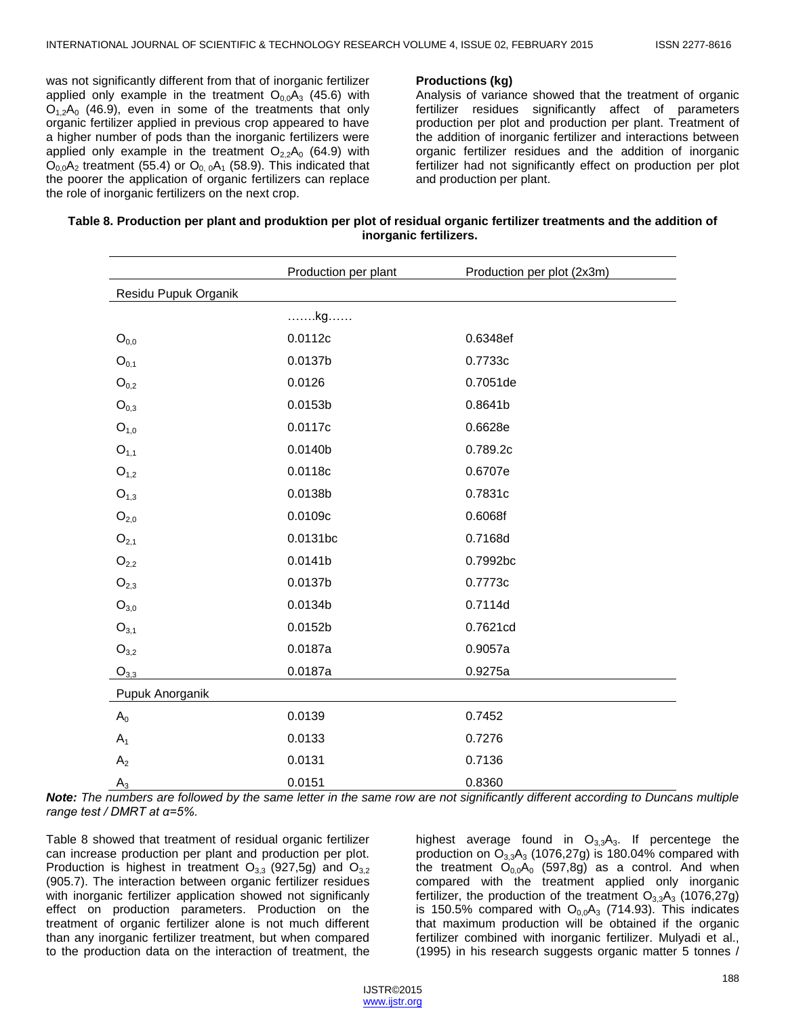was not significantly different from that of inorganic fertilizer applied only example in the treatment  $O<sub>0.0</sub>A<sub>3</sub>$  (45.6) with  $O<sub>12</sub>A<sub>0</sub>$  (46.9), even in some of the treatments that only organic fertilizer applied in previous crop appeared to have a higher number of pods than the inorganic fertilizers were applied only example in the treatment  $O_{2,2}A_0$  (64.9) with  $O_{0,0}A_2$  treatment (55.4) or  $O_{0,0}A_1$  (58.9). This indicated that the poorer the application of organic fertilizers can replace the role of inorganic fertilizers on the next crop.

#### **Productions (kg)**

Analysis of variance showed that the treatment of organic fertilizer residues significantly affect of parameters production per plot and production per plant. Treatment of the addition of inorganic fertilizer and interactions between organic fertilizer residues and the addition of inorganic fertilizer had not significantly effect on production per plot and production per plant.

| Table 8. Production per plant and produktion per plot of residual organic fertilizer treatments and the addition of |
|---------------------------------------------------------------------------------------------------------------------|
| inorganic fertilizers.                                                                                              |

|                      | Production per plant | Production per plot (2x3m) |  |  |  |
|----------------------|----------------------|----------------------------|--|--|--|
| Residu Pupuk Organik |                      |                            |  |  |  |
|                      | kg                   |                            |  |  |  |
| $O_{0,0}$            | 0.0112c              | 0.6348ef                   |  |  |  |
| $O_{0,1}$            | 0.0137b              | 0.7733c                    |  |  |  |
| $O_{0,2}$            | 0.0126               | 0.7051de                   |  |  |  |
| $O_{0,3}$            | 0.0153b              | 0.8641b                    |  |  |  |
| $O_{1,0}$            | 0.0117c              | 0.6628e                    |  |  |  |
| $O_{1,1}$            | 0.0140b              | 0.789.2c                   |  |  |  |
| $O_{1,2}$            | 0.0118c              | 0.6707e                    |  |  |  |
| $O_{1,3}$            | 0.0138b              | 0.7831c                    |  |  |  |
| O <sub>2,0</sub>     | 0.0109c              | 0.6068f                    |  |  |  |
| $O_{2,1}$            | 0.0131bc             | 0.7168d                    |  |  |  |
| $\mathrm{O}_{2,2}$   | 0.0141b              | 0.7992bc                   |  |  |  |
| $O_{2,3}$            | 0.0137b              | 0.7773c                    |  |  |  |
| $O_{3,0}$            | 0.0134b              | 0.7114d                    |  |  |  |
| $O_{3,1}$            | 0.0152b              | 0.7621cd                   |  |  |  |
| $O_{3,2}$            | 0.0187a              | 0.9057a                    |  |  |  |
| $O_{3,3}$            | 0.0187a              | 0.9275a                    |  |  |  |
| Pupuk Anorganik      |                      |                            |  |  |  |
| $A_0$                | 0.0139               | 0.7452                     |  |  |  |
| $A_1$                | 0.0133               | 0.7276                     |  |  |  |
| A <sub>2</sub>       | 0.0131               | 0.7136                     |  |  |  |
| $A_3$                | 0.0151               | 0.8360                     |  |  |  |

*Note: The numbers are followed by the same letter in the same row are not significantly different according to Duncans multiple range test / DMRT at α=5%.*

Table 8 showed that treatment of residual organic fertilizer can increase production per plant and production per plot. Production is highest in treatment  $O_{3,3}$  (927,5g) and  $O_{3,2}$ (905.7). The interaction between organic fertilizer residues with inorganic fertilizer application showed not significanly effect on production parameters. Production on the treatment of organic fertilizer alone is not much different than any inorganic fertilizer treatment, but when compared to the production data on the interaction of treatment, the

highest average found in  $O_{3,3}A_3$ . If percentege the production on  $O_{3,3}A_3$  (1076,27g) is 180.04% compared with the treatment  $O_{0,0}A_0$  (597,8g) as a control. And when compared with the treatment applied only inorganic fertilizer, the production of the treatment  $O_{3,3}A_3$  (1076,27g) is 150.5% compared with  $O<sub>0,0</sub>A<sub>3</sub>$  (714.93). This indicates that maximum production will be obtained if the organic fertilizer combined with inorganic fertilizer. Mulyadi et al., (1995) in his research suggests organic matter 5 tonnes /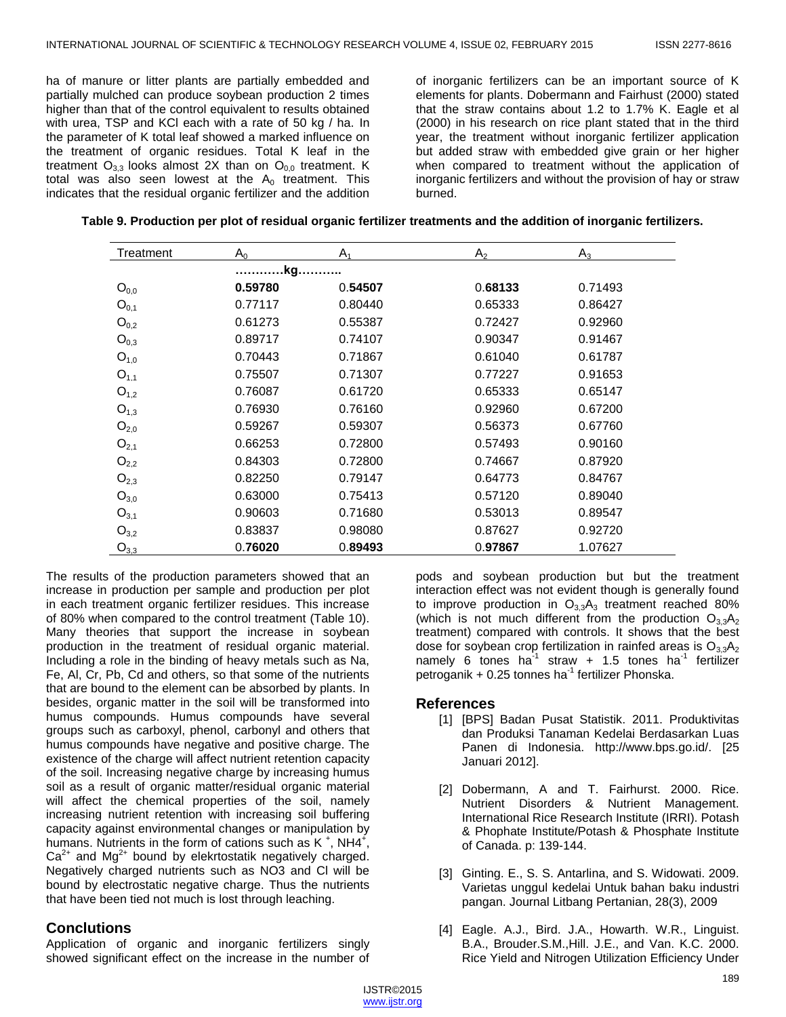ha of manure or litter plants are partially embedded and partially mulched can produce soybean production 2 times higher than that of the control equivalent to results obtained with urea, TSP and KCl each with a rate of 50 kg / ha. In the parameter of K total leaf showed a marked influence on the treatment of organic residues. Total K leaf in the treatment  $O_{3,3}$  looks almost 2X than on  $O_{0,0}$  treatment. K total was also seen lowest at the  $A_0$  treatment. This indicates that the residual organic fertilizer and the addition

of inorganic fertilizers can be an important source of K elements for plants. Dobermann and Fairhust (2000) stated that the straw contains about 1.2 to 1.7% K. Eagle et al (2000) in his research on rice plant stated that in the third year, the treatment without inorganic fertilizer application but added straw with embedded give grain or her higher when compared to treatment without the application of inorganic fertilizers and without the provision of hay or straw burned.

| Table 9. Production per plot of residual organic fertilizer treatments and the addition of inorganic fertilizers. |  |  |  |
|-------------------------------------------------------------------------------------------------------------------|--|--|--|
|                                                                                                                   |  |  |  |

| Treatment | $A_0$   | A <sub>1</sub> | A <sub>2</sub> | $A_3$   |  |  |  |
|-----------|---------|----------------|----------------|---------|--|--|--|
|           | .kg.    |                |                |         |  |  |  |
| $O_{0,0}$ | 0.59780 | 0.54507        | 0.68133        | 0.71493 |  |  |  |
| $O_{0,1}$ | 0.77117 | 0.80440        | 0.65333        | 0.86427 |  |  |  |
| $O_{0,2}$ | 0.61273 | 0.55387        | 0.72427        | 0.92960 |  |  |  |
| $O_{0,3}$ | 0.89717 | 0.74107        | 0.90347        | 0.91467 |  |  |  |
| $O_{1,0}$ | 0.70443 | 0.71867        | 0.61040        | 0.61787 |  |  |  |
| $O_{1,1}$ | 0.75507 | 0.71307        | 0.77227        | 0.91653 |  |  |  |
| $O_{1,2}$ | 0.76087 | 0.61720        | 0.65333        | 0.65147 |  |  |  |
| $O_{1,3}$ | 0.76930 | 0.76160        | 0.92960        | 0.67200 |  |  |  |
| $O_{2,0}$ | 0.59267 | 0.59307        | 0.56373        | 0.67760 |  |  |  |
| $O_{2,1}$ | 0.66253 | 0.72800        | 0.57493        | 0.90160 |  |  |  |
| $O_{2,2}$ | 0.84303 | 0.72800        | 0.74667        | 0.87920 |  |  |  |
| $O_{2,3}$ | 0.82250 | 0.79147        | 0.64773        | 0.84767 |  |  |  |
| $O_{3,0}$ | 0.63000 | 0.75413        | 0.57120        | 0.89040 |  |  |  |
| $O_{3,1}$ | 0.90603 | 0.71680        | 0.53013        | 0.89547 |  |  |  |
| $O_{3,2}$ | 0.83837 | 0.98080        | 0.87627        | 0.92720 |  |  |  |
| $O_{3,3}$ | 0.76020 | 0.89493        | 0.97867        | 1.07627 |  |  |  |

The results of the production parameters showed that an increase in production per sample and production per plot in each treatment organic fertilizer residues. This increase of 80% when compared to the control treatment (Table 10). Many theories that support the increase in soybean production in the treatment of residual organic material. Including a role in the binding of heavy metals such as Na, Fe, Al, Cr, Pb, Cd and others, so that some of the nutrients that are bound to the element can be absorbed by plants. In besides, organic matter in the soil will be transformed into humus compounds. Humus compounds have several groups such as carboxyl, phenol, carbonyl and others that humus compounds have negative and positive charge. The existence of the charge will affect nutrient retention capacity of the soil. Increasing negative charge by increasing humus soil as a result of organic matter/residual organic material will affect the chemical properties of the soil, namely increasing nutrient retention with increasing soil buffering capacity against environmental changes or manipulation by humans. Nutrients in the form of cations such as  $K^+$ , NH4<sup> $\ddagger$ </sup>,  $Ca<sup>2+</sup>$  and Mg<sup>2+</sup> bound by elekrtostatik negatively charged. Negatively charged nutrients such as NO3 and Cl will be bound by electrostatic negative charge. Thus the nutrients that have been tied not much is lost through leaching.

## **Conclutions**

Application of organic and inorganic fertilizers singly showed significant effect on the increase in the number of pods and soybean production but but the treatment interaction effect was not evident though is generally found to improve production in  $O_{3,3}A_3$  treatment reached 80% (which is not much different from the production  $O_{3,3}A_2$ treatment) compared with controls. It shows that the best dose for soybean crop fertilization in rainfed areas is  $O_{3,3}A_2$ namely 6 tones ha $^{-1}$  straw + 1.5 tones ha $^{-1}$  fertilizer petroganik + 0.25 tonnes ha<sup>-1</sup> fertilizer Phonska.

#### **References**

- [1] [BPS] Badan Pusat Statistik. 2011. Produktivitas dan Produksi Tanaman Kedelai Berdasarkan Luas Panen di Indonesia. http://www.bps.go.id/. [25 Januari 2012].
- [2] Dobermann, A and T. Fairhurst. 2000. Rice. Nutrient Disorders & Nutrient Management. International Rice Research Institute (IRRI). Potash & Phophate Institute/Potash & Phosphate Institute of Canada. p: 139-144.
- [3] Ginting. E., S. S. Antarlina, and S. Widowati. 2009. Varietas unggul kedelai Untuk bahan baku industri pangan. Journal Litbang Pertanian, 28(3), 2009
- [4] Eagle. A.J., Bird. J.A., Howarth. W.R., Linguist. B.A., Brouder.S.M.,Hill. J.E., and Van. K.C. 2000. Rice Yield and Nitrogen Utilization Efficiency Under